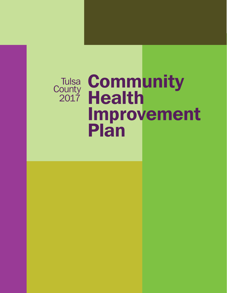## **Tulsa County** 2017

# **Community Health** Improvement Plan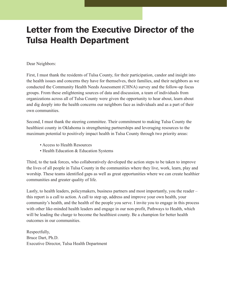### Letter from the Executive Director of the Tulsa Health Department

### Dear Neighbors:

First, I must thank the residents of Tulsa County, for their participation, candor and insight into the health issues and concerns they have for themselves, their families, and their neighbors as we conducted the Community Health Needs Assessment (CHNA) survey and the follow-up focus groups. From these enlightening sources of data and discussion, a team of individuals from organizations across all of Tulsa County were given the opportunity to hear about, learn about and dig deeply into the health concerns our neighbors face as individuals and as a part of their own communities.

Second, I must thank the steering committee. Their commitment to making Tulsa County the healthiest county in Oklahoma is strengthening partnerships and leveraging resources to the maximum potential to positively impact health in Tulsa County through two priority areas:

- Access to Health Resources
- Health Education & Education Systems

Third, to the task forces, who collaboratively developed the action steps to be taken to improve the lives of all people in Tulsa County in the communities where they live, work, learn, play and worship. These teams identified gaps as well as great opportunities where we can create healthier communities and greater quality of life.

Lastly, to health leaders, policymakers, business partners and most importantly, you the reader – this report is a call to action. A call to step up, address and improve your own health, your community's health, and the health of the people you serve. I invite you to engage in this process with other like-minded health leaders and engage in our non-profit, Pathways to Health, which will be leading the charge to become the healthiest county. Be a champion for better health outcomes in our communities.

Respectfully, Bruce Dart, Ph.D. Executive Director, Tulsa Health Department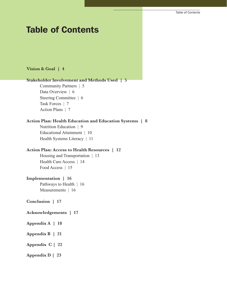### Table of Contents

#### **Vision & Goal | 4**

### **Stakeholder Involvement and Methods Used | 5**

 Community Partners | 5 Data Overview | 6 Steering Committee | 6 Task Forces | 7 Action Plans | 7

### **Action Plan: Health Education and Education Systems | 8**

 Nutrition Education | 9 Educational Attainment | 10 Health Systems Literacy | 11

### **Action Plan: Access to Health Resources | 12**

 Housing and Transportation | 13 Health Care Access | 14 Food Access | 15

#### **Implementation | 16**

 Pathways to Health | 16 Measurements | 16

**Conclusion | 17**

#### **Acknowledgements | 17**

- **Appendix A | 18**
- **Appendix B | 21**
- **Appendix C | 22**
- **Appendix D | 23**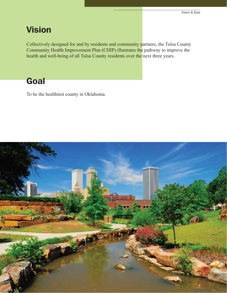### Vision

Collectively designed for and by residents and community partners, the Tulsa County Community Health Improvement Plan (CHIP) illustrates the pathway to improve the health and well-being of all Tulsa County residents over the next three years.

### **Goal**

To be the healthiest county in Oklahoma.

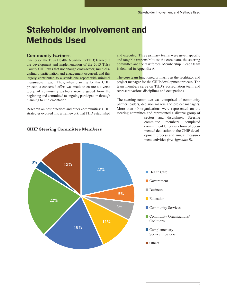### Stakeholder Involvement and Methods Used

#### **Community Partners**

One lesson the Tulsa Health Department (THD) learned in the development and implementation of the 2013 Tulsa County CHIP was that not enough cross-sector, multi-disciplinary participation and engagement occurred, and this largely contributed to a standalone report with minimal measurable impact. Thus, when planning for this CHIP process, a concerted effort was made to ensure a diverse group of community partners were engaged from the beginning and committed to ongoing participation through planning to implementation.

Research on best practices and other communities' CHIP strategies evolved into a framework that THD established and executed. Three primary teams were given specific and tangible responsibilities: the core team, the steering committee and the task forces. Membership in each team is detailed in Appendix A.

The core team functioned primarily as the facilitator and project manager for the CHIP development process. The team members serve on THD's accreditation team and represent various disciplines and occupations.

The steering committee was comprised of community partner leaders, decision makers and project managers. More than 40 organizations were represented on the steering committee and represented a diverse group of

> sectors and disciplines. Steering committee members completed commitment letters as a form of documented dedication to the CHIP development process and annual measurement activities *(see Appendix B)*.



### **CHIP Steering Committee Members**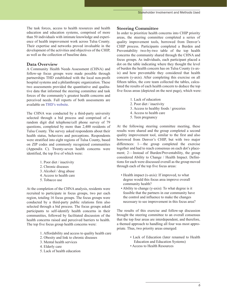The task forces, access to health resources and health education and education systems, comprised of more than 50 individuals with intimate knowledge and experience of health improvement work across Tulsa County. Their expertise and networks proved invaluable in the development of the activities and objectives of the CHIP, as well as the collection of baseline data.

#### **Data Overview**

A Community Health Needs Assessment (CHNA) and follow-up focus groups were made possible through partnerships THD established with the local non-profit hospital systems and a philanthropic organization. These two assessments provided the quantitative and qualitative data that informed the steering committee and task forces of the community's greatest health concerns and perceived needs. Full reports of both assessments are available on THD's website.

The CHNA was conducted by a third-party university selected through a bid process and comprised of a random digit dial telephone/cell phone survey of 79 questions, completed by more than 2,400 residents of Tulsa County. The survey asked respondents about their health status, behaviors and perceptions. Respondents were stratified into eight regions of Tulsa County, based on ZIP codes and commonly recognized communities (Appendix C). Twenty-seven health concerns were identified, the top five of which were:

- 1. Poor diet / inactivity
- 2. Chronic diseases
- 3. Alcohol / drug abuse
- 4. Access to health care
- 5. Tobacco use

At the completion of the CHNA analysis, residents were recruited to participate in focus groups, two per each region, totaling 16 focus groups. The focus groups were conducted by a third-party public relations firm also selected through a bid process. The focus groups asked participants to self-identify health concerns in their communities, followed by facilitated discussion of the health concerns raised and perceived barriers to health. The top five focus group health concerns were:

- 1. Affordability and access to quality health care
- 2. Obesity and link to chronic diseases
- 3. Mental health services
- 4. Elderly care
- 5. Lack of health education

#### **Steering Committee**

In order to prioritize health concerns into CHIP priority areas, the steering committee completed a series of quality improvement tools, borrowed from Denver's CHIP process. Participants completed a Burden and Preventability two-by-two table of the top health concerns the community shared through the CHNA and focus groups. As individuals, each participant placed a dot on the table indicating where they thought the level of burden the health concern has on Tulsa County (x-axis) and how preventable they considered that health concern (y-axis). After completing this exercise on all fifteen tables, the core team collected the tables, calculated the results of each health concern to deduce the top five focus areas (depicted on the next page), which were:

- 1. Lack of education
- 2. Poor diet / inactivity
- 3. Access to healthy foods / groceries
- 4. Access to health care
- 5. Teen pregnancy

At the following steering committee meeting, these results were shared and the group completed a second quality improvement tool, similar to the first and also borrowed from Denver's CHIP, but with two major differences: 1—the group completed the exercise together and had to reach consensus on each dot's placement; 2—Instead of Burden/Preventability, the group considered Ability to Change / Health Impact. Definitions for each were discussed overall as the group moved through each of the top five focus areas:

- Health impact (x-axis): If improved, to what degree would this focus area improve overall community health?
- Ability to change (y-axis): To what degree is it feasible that the partners in our community have the control and influence to make the changes necessary to see improvement in this focus area?

The results of this exercise and follow-up discussion brought the steering committee to an overall consensus that the top four areas are interdependent, and therefore, a themed approach to handling all four was most appropriate. Thus, two priority areas emerged:

- Lack of Education (later renamed to Health Education and Education Systems)
- Access to Health Resources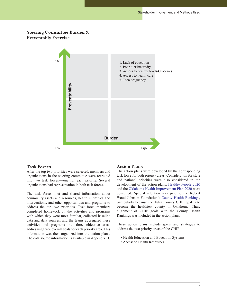### **Steering Committee Burden & Preventably Exercise**



#### **Task Forces**

After the top two priorities were selected, members and organizations in the steering committee were recruited into two task forces—one for each priority. Several organizations had representation in both task forces.

The task forces met and shared information about community assets and resources, health initiatives and interventions, and other opportunities and programs to address the top two priorities. Task force members completed homework on the activities and programs with which they were most familiar, collected baseline data and data sources, and the teams aggregated these activities and programs into three objective areas addressing three overall goals for each priority area. This information was then organized into the action plans. The data source information is available in Appendix D.

#### **Action Plans**

The action plans were developed by the corresponding task force for both priority areas. Consideration for state and national priorities were also considered in the development of the action plans. Healthy People 2020 and the Oklahoma Health Improvement Plan 2020 were consulted. Special attention was paid to the Robert Wood Johnson Foundation's County Health Rankings, particularly because the Tulsa County CHIP goal is to become the healthiest county in Oklahoma. Thus, alignment of CHIP goals with the County Health Rankings was included in the action plans.

These action plans include goals and strategies to address the two priority areas of the CHIP:

- Health Education and Education Systems
- Access to Health Resources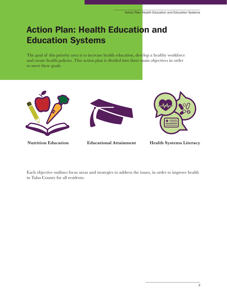### Action Plan: Health Education and Education Systems

The goal of this priority area is to increase health education, develop a healthy workforce and create health policies. This action plan is divided into three main objectives in order to meet these goals:



**Nutrition Education Educational Attainment Health Systems Literacy**

Each objective outlines focus areas and strategies to address the issues, in order to improve health in Tulsa County for all residents.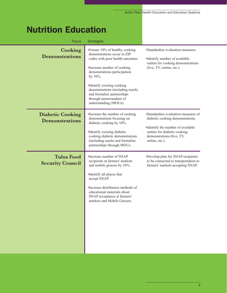### Nutrition Education

| <b>Focus</b>                                     | <b>Strategies</b>                                                                                                                                                                                                                                                       |                                                                                                                                                                                             |
|--------------------------------------------------|-------------------------------------------------------------------------------------------------------------------------------------------------------------------------------------------------------------------------------------------------------------------------|---------------------------------------------------------------------------------------------------------------------------------------------------------------------------------------------|
| Cooking<br><b>Demonstrations</b>                 | •Ensure 10% of healthy cooking<br>demonstrations occur in ZIP<br>codes with poor health outcomes.<br>•Increase number of cooking<br>demonstrations participation<br>by 10%.<br>•Identify existing cooking<br>demonstrations (including reach)                           | •Standardize evaluation measures.<br>•Identify number of available<br>outlets for cooking demonstrations<br>(live, TV, online, etc.).                                                       |
|                                                  | and formalize partnerships<br>through memorandum of<br>understanding (MOUs).                                                                                                                                                                                            |                                                                                                                                                                                             |
| <b>Diabetic Cooking</b><br><b>Demonstrations</b> | •Increase the number of cooking<br>demonstrations focusing on<br>diabetic cooking by 10%.<br>•Identify existing diabetic<br>cooking diabetic demonstrations<br>(including reach) and formalize<br>partnerships through MOUs.                                            | •Standardize evaluation measures of<br>diabetic cooking demonstrations.<br>•Identify the number of available<br>outlets for diabetic cooking<br>demonstrations (live, TV,<br>online, etc.). |
| <b>Tulsa Food</b><br><b>Security Council</b>     | •Increase number of SNAP<br>recipients at farmers' markets<br>and mobile grocers by 10%.<br>•Identify all places that<br>accept SNAP.<br>•Increase distribution methods of<br>educational materials about<br>SNAP acceptance at farmers'<br>markets and Mobile Grocers. | •Develop plan for SNAP recipients<br>to be connected to transportation to<br>farmers' markets accepting SNAP.                                                                               |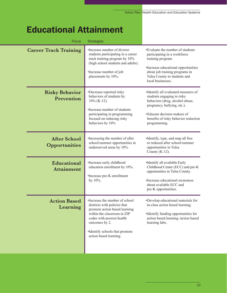### Educational Attainment

| <b>Focus</b>                                | <b>Strategies</b>                                                                                                                                                                                                                         |                                                                                                                                                                                                                            |
|---------------------------------------------|-------------------------------------------------------------------------------------------------------------------------------------------------------------------------------------------------------------------------------------------|----------------------------------------------------------------------------------------------------------------------------------------------------------------------------------------------------------------------------|
| <b>Career Track Training</b>                | •Increase number of diverse<br>students participating in a career<br>track training program by 10%<br>(high school students and adults).<br>•Increase number of job<br>placements by 10%.                                                 | •Evaluate the number of students<br>participating in a workforce<br>training program.<br>•Increase educational opportunities<br>about job training programs in<br>Tulsa County to students and<br>local businesses.        |
| <b>Risky Behavior</b><br>Prevention         | •Decrease reported risky<br>behaviors of students by<br>$10\%$ (K-12).<br>•Increase number of students<br>participating in programming<br>focused on reducing risky<br>behaviors by 10%                                                   | •Identify all evaluated measures of<br>students engaging in risky<br>behaviors (drug, alcohol abuse,<br>pregnancy, bullying, etc.).<br>•Educate decision makers of<br>benefits of risky behavior reduction<br>programming. |
| <b>After School</b><br><b>Opportunities</b> | •Increasing the number of after<br>school/summer opportunities in<br>underserved areas by 10%.                                                                                                                                            | •Identify, type, and map all free<br>or reduced after school/summer<br>opportunities in Tulsa<br>County $(K-12)$ .                                                                                                         |
| Educational<br><b>Attainment</b>            | •Increase early childhood<br>education enrollment by 10%.<br>•Increase pre-K enrollment<br>by 10%.                                                                                                                                        | •Identify all available Early<br>Childhood Center (ECC) and pre-K<br>opportunities in Tulsa County.<br>•Increase educational awareness<br>about available ECC and<br>pre-K opportunities.                                  |
| <b>Action Based</b><br>Learning             | •Increase the number of school<br>districts with policies that<br>promote action based learning<br>within the classroom in ZIP<br>codes with poorest health<br>outcomes by 2.<br>•Identify schools that promote<br>action based learning. | •Develop educational materials for<br>in-class action based learning.<br>•Identify funding opportunities for<br>action based learning /action based<br>learning labs.                                                      |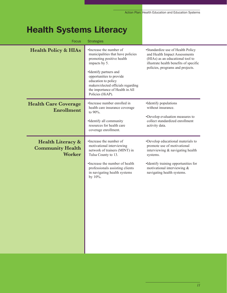### Health Systems Literacy

| <b>Focus</b>                                                             | <b>Strategies</b>                                                                                                                                                                                                                                                                    |                                                                                                                                                                                                                       |
|--------------------------------------------------------------------------|--------------------------------------------------------------------------------------------------------------------------------------------------------------------------------------------------------------------------------------------------------------------------------------|-----------------------------------------------------------------------------------------------------------------------------------------------------------------------------------------------------------------------|
| <b>Health Policy &amp; HIAs</b>                                          | •Increase the number of<br>municipalities that have policies<br>promoting positive health<br>impacts by 5.<br>•Identify partners and<br>opportunities to provide<br>education to policy<br>makers/elected officials regarding<br>the importance of Health in All<br>Policies (HiAP). | •Standardize use of Health Policy<br>and Health Impact Assessments<br>(HIAs) as an educational tool to<br>illustrate health benefits of specific<br>policies, programs and projects.                                  |
| <b>Health Care Coverage</b><br>Enrollment                                | •Increase number enrolled in<br>health care insurance coverage<br>to 90%.<br>•Identify all community<br>resources for health care<br>coverage enrollment.                                                                                                                            | •Identify populations<br>without insurance.<br>•Develop evaluation measures to<br>collect standardized enrollment<br>activity data.                                                                                   |
| <b>Health Literacy &amp;</b><br><b>Community Health</b><br><b>Worker</b> | •Increase the number of<br>motivational interviewing<br>network of trainers (MINT) in<br>Tulsa County to 13.<br>•Increase the number of health<br>professionals assisting clients<br>in navigating health systems<br>by 10%.                                                         | •Develop educational materials to<br>promote use of motivational<br>interviewing & navigating health<br>systems.<br>•Identify training opportunities for<br>motivational interviewing &<br>navigating health systems. |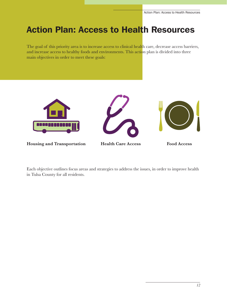### Action Plan: Access to Health Resources

The goal of this priority area is to increase access to clinical health care, decrease access barriers, and increase access to healthy foods and environments. This action plan is divided into three main objectives in order to meet these goals:







**Housing and Transportation Health Care Access Food Access**

Each objective outlines focus areas and strategies to address the issues, in order to improve health in Tulsa County for all residents.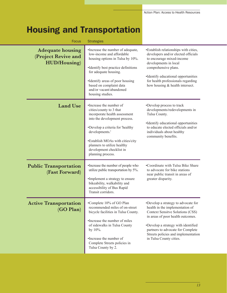### Housing and Transportation

| <b>Focus</b>                                                           | <b>Strategies</b>                                                                                                                                                                                                                                                                              |                                                                                                                                                                                                                                                                                                      |
|------------------------------------------------------------------------|------------------------------------------------------------------------------------------------------------------------------------------------------------------------------------------------------------------------------------------------------------------------------------------------|------------------------------------------------------------------------------------------------------------------------------------------------------------------------------------------------------------------------------------------------------------------------------------------------------|
| <b>Adequate housing</b><br>(Project Revive and<br><b>HUD/Housing</b> ) | •Increase the number of adequate,<br>low-income and affordable<br>housing options in Tulsa by 10%.<br>•Identify best practice definitions<br>for adequate housing.<br>•Identify areas of poor housing<br>based on complaint data<br>and/or vacant/abandoned<br>housing studies.                | •Establish relationships with cities,<br>developers and/or elected officials<br>to encourage mixed-income<br>developments in local<br>comprehensive plans.<br>•Identify educational opportunities<br>for health professionals regarding<br>how housing & health intersect.                           |
| <b>Land Use</b>                                                        | •Increase the number of<br>cities/county to 3 that<br>incorporate health assessment<br>into the development process.<br>•Develop a criteria for 'healthy<br>developments.'<br>•Establish MOAs with cities/city<br>planners to utilize healthy<br>development checklist in<br>planning process. | •Develop process to track<br>developments/redevelopments in<br>Tulsa County.<br>•Identify educational opportunities<br>to educate elected officials and/or<br>individuals about healthy<br>community benefits.                                                                                       |
| <b>Public Transportation</b><br>(Fast Forward)                         | •Increase the number of people who<br>utilize public transportation by 5%.<br>•Implement a strategy to ensure<br>bikeability, walkability and<br>accessibility of Bus Rapid<br>Transit corridors.                                                                                              | •Coordinate with Tulsa Bike Share<br>to advocate for bike stations<br>near public transit in areas of<br>greater disparity.                                                                                                                                                                          |
| <b>Active Transportation</b><br>(GO Plan)                              | •Complete 10% of GO Plan<br>recommended miles of on-street<br>bicycle facilities in Tulsa County.<br>•Increase the number of miles<br>of sidewalks in Tulsa County<br>by 10%.<br>•Increase the number of<br>Complete Streets policies in<br>Tulsa County by 2.                                 | •Develop a strategy to advocate for<br>health in the implementation of<br><b>Context Sensitve Solutions (CSS)</b><br>in areas of poor health outcomes.<br>•Develop a strategy with identified<br>partners to advocate for Complete<br>Streets policies and implementation<br>in Tulsa County cities. |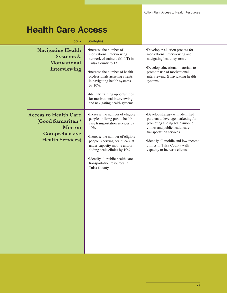### Health Care Access

| <b>Focus</b>                                                                                                    | <b>Strategies</b>                                                                                                                                                                                                                                                                                                                         |                                                                                                                                                                                                                                                                                  |
|-----------------------------------------------------------------------------------------------------------------|-------------------------------------------------------------------------------------------------------------------------------------------------------------------------------------------------------------------------------------------------------------------------------------------------------------------------------------------|----------------------------------------------------------------------------------------------------------------------------------------------------------------------------------------------------------------------------------------------------------------------------------|
| <b>Navigating Health</b><br>Systems &<br><b>Motivational</b><br>Interviewing                                    | •Increase the number of<br>motivational interviewing<br>network of trainers (MINT) in<br>Tulsa County to 13.<br>•Increase the number of health<br>professionals assisting clients<br>in navigating health systems<br>by 10%.<br>•Identify training opportunities<br>for motivational interviewing<br>and navigating health systems.       | •Develop evaluation process for<br>motivational interviewing and<br>navigating health systems.<br>•Develop educational materials to<br>promote use of motivational<br>interviewing & navigating health<br>systems.                                                               |
| <b>Access to Health Care</b><br>(Good Samaritan /<br><b>Morton</b><br>Comprehensive<br><b>Health Services</b> ) | •Increase the number of eligible<br>people utilizing public health<br>care transportation services by<br>10%.<br>•Increase the number of eligible<br>people receiving health care at<br>under-capacity mobile and/or<br>sliding scale clinics by 10%.<br>•Identify all public health care<br>transportation resources in<br>Tulsa County. | •Develop strategy with identified<br>partners to leverage marketing for<br>promoting sliding scale /mobile<br>clinics and public health care<br>transportation services.<br>•Identify all mobile and low income<br>clinics in Tulsa County with<br>capacity to increase clients. |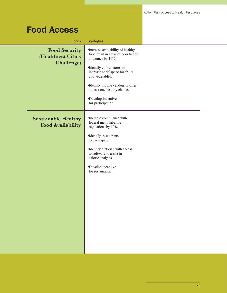### Food Access

| <b>Focus</b>                                           | <b>Strategies</b>                                                                            |  |
|--------------------------------------------------------|----------------------------------------------------------------------------------------------|--|
| <b>Food Security</b><br>(Healthiest Cities             | •Increase availability of healthy<br>food retail in areas of poor health<br>outcomes by 10%. |  |
| Challenge)                                             | •Identify corner stores to<br>increase shelf space for fruits<br>and vegetables.             |  |
|                                                        | •Identify mobile vendors to offer<br>at least one healthy choice.                            |  |
|                                                        | •Develop incentive<br>for participation.                                                     |  |
| <b>Sustainable Healthy</b><br><b>Food Availability</b> | •Increase compliance with<br>federal menu labeling<br>regulations by 10%.                    |  |
|                                                        | ·Identify restaurants<br>to participate.                                                     |  |
|                                                        | •Identify dietician with access<br>to software to assist in<br>calorie analysis.             |  |
|                                                        | •Develop incentive<br>for restaurants.                                                       |  |
|                                                        |                                                                                              |  |
|                                                        |                                                                                              |  |
|                                                        |                                                                                              |  |
|                                                        |                                                                                              |  |
|                                                        |                                                                                              |  |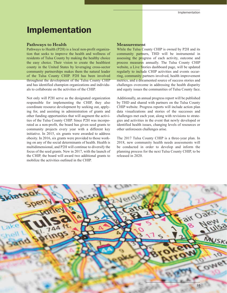### Implementation

#### **Pathways to Health**

Pathways to Health (P2H) is a local non-profit organization that seeks to improve the health and wellness of residents of Tulsa County by making the healthy choice the easy choice. Their vision to create the healthiest county in the United States by leveraging cross-sector community partnerships makes them the natural leader of the Tulsa County CHIP. P2H has been involved throughout the development of the Tulsa County CHIP and has identified champion organizations and individuals to collaborate on the activities of the CHIP.

Not only will P2H serve as the designated organization responsible for implementing the CHIP, they also coordinate resource development by seeking out, applying for, and assisting in administration of grants and other funding opportunities that will augment the activities of the Tulsa County CHIP. Since P2H was incorporated as a non-profit, the board has given seed grants to community projects every year with a different key initiative. In 2015, six grants were awarded to address obesity. In 2016, six grants were provided to those working on any of the social determinants of health. Health is multidimensional, and P2H will continue to diversify the focus of the seed grants. New in 2017, with the launch of the CHIP, the board will award two additional grants to mobilize the activities outlined in the CHIP.

#### **Measurement**

While the Tulsa County CHIP is owned by P2H and its community partners, THD will be instrumental in assessing the progress of each activity, outcome and process measures annually. The Tulsa County CHIP website, a Live Stories dashboard page, will be updated regularly to include CHIP activities and events occurring, community partners involved, health improvement metrics, and a documented source of success stories and challenges overcome in addressing the health disparity and equity issues the communities of Tulsa County face.

Additionally, an annual progress report will be published by THD and shared with partners on the Tulsa County CHIP website. Progress reports will include action plan data visualizations and stories of the successes and challenges met each year, along with revisions to strategies and activities in the event that newly developed or identified health issues, changing levels of resources or other unforeseen challenges arise.

The 2017 Tulsa County CHIP is a three-year plan. In 2018, new community health needs assessments will be conducted in order to develop and inform the planning process for the next Tulsa County CHIP, to be released in 2020.

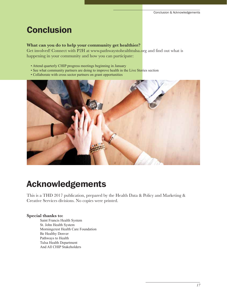### **Conclusion**

### **What can you do to help your community get healthier?**

Get involved! Connect with P2H at www.pathwaystohealthtulsa.org and find out what is happening in your community and how you can participate:

- Attend quarterly CHIP progress meetings beginning in January
- See what community partners are doing to improve health in the Live Stories section
- Collaborate with cross sector partners on grant opportunities



### Acknowledgements

This is a THD 2017 publication, prepared by the Health Data & Policy and Marketing & Creative Services divisions. No copies were printed.

### **Special thanks to:**

 Saint Francis Health System St. John Health System Morningcrest Health Care Foundation Be Healthy Denver Pathways to Health Tulsa Health Department And All CHIP Stakeholders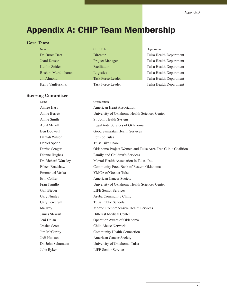### Appendix A: CHIP Team Membership

#### **Core Team**

| Name                 | CF    |
|----------------------|-------|
| Dr. Bruce Dart       | D     |
| Joani Dotson         | $P_1$ |
| Kaitlin Snider       | Fε    |
| Roshini Muralidharan | L0    |
| <b>Jill Almond</b>   | Tε    |
| Kelly VanRuskirk     | Τs    |

#### **Steering Committee**

Name Chief Chief Chief Chief Chief Chief Chief Chief Chief Chief Chief Chief Chief Chief Chief Chief Chief Chief Chief Chief Chief Chief Chief Chief Chief Chief Chief Chief Chief Chief Chief Chief Chief Chief Chief Chief C **Dr. Bruce Dart Director** Tulsa Health Department

Tulsa Health Department Acilitator Facilitator Facilitator Facilitator Facilitator Facilitator Facilitator Facilitator Facilitator Facilitator Facilitator Facilitator Facilitator Facilitator Facilitator Facilitator Facilitator Facilitator Facilit **Roshini Muralidharan Logistics** Tulsa Health Department Insk Force Leader Tulsa Health Department Kelly VanBuskirk Task Force Leader Tulsa Health Department

| Name                 | Organization                                                |
|----------------------|-------------------------------------------------------------|
| Aimee Hass           | American Heart Association                                  |
| Annie Berrett        | University of Oklahoma Health Sciences Center               |
| Annie Smith          | St. John Health System                                      |
| April Merrill        | Legal Aide Services of Oklahoma                             |
| <b>Ben Dodwell</b>   | Good Samaritan Health Services                              |
| Damali Wilson        | <b>EduRec Tulsa</b>                                         |
| Daniel Sperle        | Tulsa Bike Share                                            |
| Denise Senger        | Oklahoma Project Women and Tulsa Area Free Clinic Coalition |
| Dianne Hughes        | Family and Children's Services                              |
| Dr. Richard Wansley  | Mental Health Association in Tulsa, Inc.                    |
| Eileen Bradshaw      | Community Food Bank of Eastern Oklahoma                     |
| Emmanuel Voska       | YMCA of Greater Tulsa                                       |
| Erin Collier         | <b>American Cancer Society</b>                              |
| Fran Trujillo        | University of Oklahoma Health Sciences Center               |
| Gail Bieber          | <b>LIFE Senior Services</b>                                 |
| Gary Nunley          | Aruba Community Clinic                                      |
| Gary Percefull       | <b>Tulsa Public Schools</b>                                 |
| Ida Ivey             | Morton Comprehensive Health Services                        |
| <b>James Stewart</b> | <b>Hillcrest Medical Center</b>                             |
| Jeni Dolan           | Operation Aware of Oklahoma                                 |
| Jessica Scott        | Child Abuse Network                                         |
| Jim McCarthy         | Community Health Connection                                 |
| Jodi Hudson          | American Cancer Society                                     |
| Dr. John Schumann    | University of Oklahoma-Tulsa                                |
| Julie Ryker          | <b>LIFE Senior Services</b>                                 |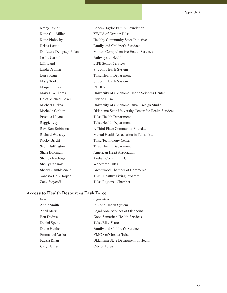| Kathy Taylor               | Lobeck Taylor Family Foundation                      |
|----------------------------|------------------------------------------------------|
| Katie Gill Miller          | YWCA of Greater Tulsa                                |
| Katie Plohocky             | Healthy Community Store Initiative                   |
| Krista Lewis               | Family and Children's Services                       |
| Dr. Laura Dempsey-Polan    | Morton Comprehensive Health Services                 |
| Leslie Carroll             | Pathways to Health                                   |
| Lilli Land                 | <b>LIFE Senior Services</b>                          |
| Linda Drumm                | St. John Health System                               |
| Luisa Krug                 | Tulsa Health Department                              |
| Macy Tooke                 | St. John Health System                               |
| Margaret Love              | <b>CUBES</b>                                         |
| Mary B Williams            | University of Oklahoma Health Sciences Center        |
| <b>Chief Micheal Baker</b> | City of Tulsa                                        |
| Michael Birkes             | University of Oklahoma Urban Design Studio           |
| Michelle Carlton           | Oklahoma State University Center for Health Services |
| Priscilla Haynes           | Tulsa Health Department                              |
| Reggie Ivey                | Tulsa Health Department                              |
| Rev. Ron Robinson          | A Third Place Community Foundation                   |
| Richard Wansley            | Mental Health Association in Tulsa, Inc.             |
| Rocky Bright               | Tulsa Technology Center                              |
| Scott Buffington           | Tulsa Health Department                              |
| Shari Holdman              | <b>American Heart Association</b>                    |
| Shelley Nachtigall         | Arubah Community Clinic                              |
| Shelly Cadamy              | Workforce Tulsa                                      |
| Sherry Gamble-Smith        | Greenwood Chamber of Commerce                        |
| Vanessa Hall-Harper        | <b>TSET Healthy Living Program</b>                   |
| Zack Stoycoff              | Tulsa Regional Chamber                               |

### **Access to Health Resources Task Force**

| Name           | Organization                        |
|----------------|-------------------------------------|
| Annie Smith    | St. John Health System              |
| April Merrill  | Legal Aide Services of Oklahoma     |
| Ben Dodwell    | Good Samaritan Health Services      |
| Daniel Sperle  | Tulsa Bike Share                    |
| Diane Hughes   | Family and Children's Services      |
| Emmanuel Voska | YMCA of Greater Tulsa               |
| Fauzia Khan    | Oklahoma State Department of Health |
| Gary Hamer     | City of Tulsa                       |
|                |                                     |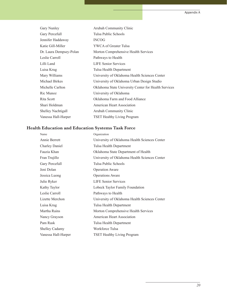| Gary Nunley               | Arubah Community Clinic                              |
|---------------------------|------------------------------------------------------|
| Gary Percefull            | Tulsa Public Schools                                 |
| Jennifer Haddaway         | <b>INCOG</b>                                         |
| Katie Gill-Miller         | YWCA of Greater Tulsa                                |
| Dr. Laura Dempsey-Polan   | Morton Comprehensive Health Services                 |
| Leslie Carroll            | Pathways to Health                                   |
| Lilli Land                | <b>LIFE Senior Services</b>                          |
| Luisa Krug                | Tulsa Health Department                              |
| Mary Williams             | University of Oklahoma Health Sciences Center        |
| Michael Birkes            | University of Oklahoma Urban Design Studio           |
| Michelle Carlton          | Oklahoma State University Center for Health Services |
| Ric Munoz                 | University of Oklahoma                               |
| Rita Scott                | Oklahoma Farm and Food Alliance                      |
| Shari Holdman             | American Heart Association                           |
| <b>Shelley Nachtigall</b> | Arubah Community Clinic                              |
| Vanessa Hall-Harper       | <b>TSET Healthy Living Program</b>                   |

### **Health Education and Education Systems Task Force**

| Name                  | Organization                                  |
|-----------------------|-----------------------------------------------|
| Annie Berrett         | University of Oklahoma Health Sciences Center |
| <b>Charley Daniel</b> | Tulsa Health Department                       |
| Fauzia Khan           | Oklahoma State Department of Health           |
| Fran Trujillo         | University of Oklahoma Health Sciences Center |
| Gary Percefull        | Tulsa Public Schools                          |
| Jeni Dolan            | <b>Operation Aware</b>                        |
| Jessica Luong         | <b>Operations Aware</b>                       |
| Julie Ryker           | <b>LIFE Senior Services</b>                   |
| Kathy Taylor          | Lobeck Taylor Family Foundation               |
| Leslie Carroll        | Pathways to Health                            |
| Lizette Merchon       | University of Oklahoma Health Sciences Center |
| Luisa Krug            | Tulsa Health Department                       |
| Martha Rains          | Morton Comprehensive Health Services          |
| Nancy Grayson         | American Heart Association                    |
| Pam Rask              | Tulsa Health Department                       |
| <b>Shelley Cadamy</b> | Workforce Tulsa                               |
| Vanessa Hall-Harper   | <b>TSET Healthy Living Program</b>            |
|                       |                                               |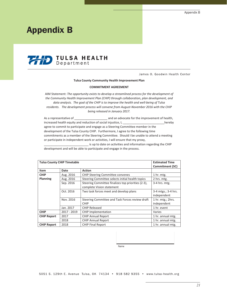### Appendix B



James O. Goodwin Health Center

#### **Tulsa County Community Health Improvement Plan**

#### **COMMITMENT AGREEMENT**

AIM Statement: *The opportunity exists to develop a streamlined process for the development of the Community Health Improvement Plan (CHIP) through collaboration, plan development, and data analysis. The goal of the CHIP is to improve the health and well-being of Tulsa residents. The development process will convene from August-November 2016 with the CHIP being released in January 2017.*

As a representative of \_\_\_\_\_\_\_\_\_\_\_\_\_\_\_\_\_\_\_\_\_\_\_ and an advocate for the improvement of health, increased health equity and reduction of social injustice, I, the same of the late of the hereby agree to commit to participate and engage as a Steering Committee member in the development of the Tulsa County CHIP. Furthermore, I agree to the following time commitments as a member of the Steering Committee. Should I be unable to attend a meeting or participate in independent work or activities, I will ensure that my proxy, is up to date on activities and information regarding the CHIP

development and will be able to participate and engage in the process.

|                    | <b>Tulsa County CHIP Timetable</b> |                                                    | <b>Estimated Time</b> |
|--------------------|------------------------------------|----------------------------------------------------|-----------------------|
|                    |                                    |                                                    | Commitment (SC)       |
| <b>Item</b>        | Date                               | <b>Action</b>                                      |                       |
| <b>CHIP</b>        | Aug. 2016                          | <b>CHIP Steering Committee convenes</b>            | 1 hr. mtg.            |
| <b>Planning</b>    | Aug. 2016                          | Steering Committee selects initial health topics   | 2 hrs. mtg.           |
|                    | Sep. 2016                          | Steering Committee finalizes top priorities (2-3), | $3-4$ hrs. mtg.       |
|                    |                                    | complete Vision statement                          |                       |
|                    | Oct. 2016                          | Two task forces meet and develop plans             | 3-4 mtgs.; 3-4 hrs.   |
|                    |                                    |                                                    | independent           |
|                    | Nov. 2016                          | Steering Committee and Task Forces review draft    | 1 hr. mtg.; 2hrs.     |
|                    |                                    | <b>CHIP</b>                                        | independent           |
|                    | Jan. 2017                          | <b>CHIP Released</b>                               | 1 hr. event           |
| <b>CHIP</b>        | 2017 - 2019                        | <b>CHIP Implementation</b>                         | Varies                |
| <b>CHIP Report</b> | 2017                               | <b>CHIP Annual Report</b>                          | 1 hr. annual mtg.     |
|                    | 2018                               | <b>CHIP Annual Report</b>                          | 1 hr. annual mtg.     |
| <b>CHIP Report</b> | 2018                               | <b>CHIP Final Report</b>                           | 1 hr. annual mtg.     |

Name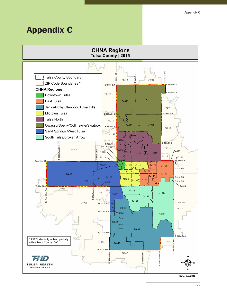### Appendix C



**Date: 3/7/2016**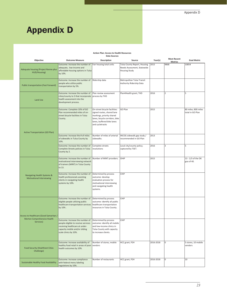### Appendix D

#### **Action Plan: Access to Health Resources Data Sources**

| Objective                                                       | <b>Outcome Measure</b>                                                                                                                                                                                                 | Description                                                                                                                                                                 | Source                                                                              | Year(s)   | <b>Most Recent</b><br><b>Metrics</b> | <b>Goal Metric</b>                      |
|-----------------------------------------------------------------|------------------------------------------------------------------------------------------------------------------------------------------------------------------------------------------------------------------------|-----------------------------------------------------------------------------------------------------------------------------------------------------------------------------|-------------------------------------------------------------------------------------|-----------|--------------------------------------|-----------------------------------------|
| Adequate housing (Project Revive plus<br>HUD/Housing)           | Outcome: Increase the number of<br>adequate, low-income and<br>affordable housing options in Tulsa<br>by 10%.                                                                                                          | Fair housing total units                                                                                                                                                    | Tulsa County Report, Housing<br>Needs Assessment, Statewide<br><b>Housing Study</b> | 2015      | 9868                                 | 10854                                   |
| <b>Public transportation (Fast Forward)</b>                     | Outcome: Increase the number of<br>people who utilize public<br>transportation by 5%.                                                                                                                                  | Ridership data                                                                                                                                                              | Metropolitan Tulsa Transit<br>Authority Ridership Data                              |           |                                      |                                         |
| Land Use                                                        | Outcome: Increase the number of<br>cities/county to 3 that incorporate process by THD<br>health assessment into the<br>development process.                                                                            | Plan review assessment                                                                                                                                                      | Plan4Health grant, THD                                                              | 2016      | $\overline{2}$                       | 5                                       |
| Active Transportation (GO Plan)                                 | Outcome: Complete 10% of GO<br>Plan recommended miles of on-<br>street bicycle facilities in Tulsa<br>County.                                                                                                          | On-street bicycle facilities:<br>signed routes, shared lane<br>markings, priority shared<br>lanes, bicycle corridors, bike<br>lanes, buffered bike lanes<br>and cycletracks | GO Plan                                                                             | 2015      |                                      | 80 miles; 800 miles<br>total in GO Plan |
|                                                                 | Outcome: Increase the # of miles<br>of sidewalks in Tulsa County by<br>10%.                                                                                                                                            | Number of miles of arterial<br>sidewalks.                                                                                                                                   | INCOG sidewalk gap study /<br>recommended in GO Plan                                | 2013      |                                      |                                         |
|                                                                 | Outcome: Increase the number of<br>Complete Streets policies in Tulsa<br>County by 2.                                                                                                                                  | Complete streets<br>resolutions                                                                                                                                             | Local city/county policy;<br>captured by TSET.                                      | 2016      | 3                                    | 5                                       |
| Navigating Health Systems &<br><b>Motivational Interviewing</b> | Outcome: Increase the number of<br>motivational interviewing network<br>of trainers (MINT) in Tulsa County<br>to 13.                                                                                                   | Number of MINT providers.                                                                                                                                                   | OHIP                                                                                | 2015      |                                      | 13 - 1/3 of the OK<br>goa of 40.        |
|                                                                 | Outcome: Increase the number of<br>health professionals assisting<br>clients in navigating health<br>systems by 10%.                                                                                                   | Determined by process<br>outcome: develop<br>evaluation process for<br>motivational interviewing<br>and navigating health<br>systems.                                       | CHIP                                                                                |           |                                      |                                         |
| Access to Healthcare (Good Samaritan /                          | Outcome: Increase the number of<br>eligible people utilizing public<br>healthcare transportation services healthcare transportation<br>by 10%.                                                                         | Determined by process<br>outcome: identify all public<br>resources in Tulsa County.                                                                                         | CHIP                                                                                |           |                                      |                                         |
| Morton Comprehensive Health<br>Services)                        | Outcome: Increase the number of Determined by process<br>people eligible to receive services outcome: identify all mobile<br>receiving healthcare at under-<br>capacity mobile and/or sliding<br>scale clinics by 10%. | and low-income clinics in<br>Tulsa County with capacity<br>to increase clients.                                                                                             | CHIP                                                                                |           |                                      |                                         |
| <b>Food Security (Healthiest Cities</b><br>Challenge)           | Outcome: Increase availability of<br>healthy food retail in areas of poor<br>health outcomes by 10%.                                                                                                                   | Number of stores, mobile<br>vendors                                                                                                                                         | HCC grant, P2H                                                                      | 2016-2018 | 0                                    | 5 stores, 10 mobile<br>vendors          |
| Sustainable Healthy Food Availability                           | Outcome: Increase compliance<br>with federal menu labeling<br>regulations by 10%.                                                                                                                                      | Number of restaurants                                                                                                                                                       | HCC grant, P2H                                                                      | 2016-2018 |                                      | 10                                      |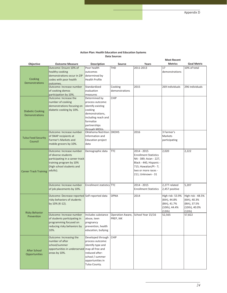**Most Recent** 

#### **Action Plan: Health Education and Education Systems Data Sources**

| Objective                                   | <b>Outcome Measure</b>                                 | <b>Description</b>                  | <b>Source</b>  | Years                              | <b>Metrics</b>  | <b>Goal Metric</b> |
|---------------------------------------------|--------------------------------------------------------|-------------------------------------|----------------|------------------------------------|-----------------|--------------------|
| Cooking<br><b>Demonstrations</b>            | Outcome: Ensure 10% of                                 | Poor health                         | <b>THD</b>     | 2011-2013                          | 17              | 10% of total       |
|                                             | healthy cooking                                        | outcomes                            |                |                                    | demonstrations  |                    |
|                                             | demonstrations occur in ZIP                            | determined by                       |                |                                    |                 |                    |
|                                             | codes with poor health                                 | <b>Health Profile</b>               |                |                                    |                 |                    |
|                                             | outcomes.                                              |                                     |                |                                    |                 |                    |
|                                             | Outcome: Increase number                               | Standardized                        | Cooking        | 2015                               | 269 individuals | 296 individuals    |
|                                             | of cooking demos                                       | evaluation                          | demonstrations |                                    |                 |                    |
|                                             | participation by 10%.                                  | measures                            |                |                                    |                 |                    |
|                                             | Outcome: Increase the                                  | Determined by                       | CHIP           |                                    |                 |                    |
|                                             | number of cooking                                      | process outcome:                    |                |                                    |                 |                    |
|                                             | demonstrations focusing on                             | identify existing                   |                |                                    |                 |                    |
| <b>Diabetic Cooking</b>                     | diabetic cooking by 10%.                               | cooking                             |                |                                    |                 |                    |
| <b>Demonstrations</b>                       |                                                        | demonstrations,                     |                |                                    |                 |                    |
|                                             |                                                        | including reach and                 |                |                                    |                 |                    |
|                                             |                                                        | formalize                           |                |                                    |                 |                    |
|                                             |                                                        | partnerships                        |                |                                    |                 |                    |
|                                             | Outcome: Increase number                               | through MOUs.<br>Oklahoma Nutrition | <b>OKDHS</b>   | 2016                               | 3 Farmer's      |                    |
|                                             | of SNAP recipients at                                  | Information and                     |                |                                    | Markets         |                    |
| <b>Tulsa Food Security</b>                  | Farmer's Markets and                                   | <b>Education project</b>            |                |                                    | participating   |                    |
| Council                                     | mobile grocers by 10%.                                 | data                                |                |                                    |                 |                    |
|                                             |                                                        |                                     |                |                                    |                 |                    |
|                                             | Outcome: Increase number                               | Demographic data                    | <b>TTC</b>     | 2014 - 2015                        | 2,020           | 2,222              |
|                                             | of diverse students                                    |                                     |                | <b>Enrollment Statistics</b>       |                 |                    |
|                                             | participating in a career track                        |                                     |                | NA - 389; Asian - 227,             |                 |                    |
|                                             | training program by 10%                                |                                     |                | Black - 440, Hispanic -            |                 |                    |
|                                             | (high school students and                              |                                     |                | 715; Hawaiian/PI - 7;              |                 |                    |
| <b>Career Track Training</b>                | adults).                                               |                                     |                | two or more races -                |                 |                    |
|                                             |                                                        |                                     |                | 211; Unknown - 31                  |                 |                    |
|                                             |                                                        |                                     |                |                                    |                 |                    |
|                                             | Outcome: Increase number                               | Enrollment statistics TTC           |                | $2014 - 2015$                      | 2,277 related   | 5,207              |
|                                             | of job placements by 10%.                              |                                     |                | <b>Enrollment Statistics</b>       | 2,457 positive  |                    |
|                                             |                                                        |                                     |                |                                    |                 |                    |
|                                             | Outcome: Decrease reported Self-reported data          |                                     | <b>OPNA</b>    | 2014                               | High risk-53.9% | High risk - 48.5%  |
|                                             | risky behaviors of students                            |                                     |                |                                    | (6th), 44.8%    | (6th), 40.3%       |
| <b>Risky Behavior</b>                       | by 10% (K-12).                                         |                                     |                |                                    | (8th), 41.7%    | (8th), 37.5%       |
|                                             |                                                        |                                     |                |                                    | (10th), 44.4%   | (10th), 40.0%      |
|                                             |                                                        |                                     |                |                                    | (12th)          | (12th)             |
| Prevention                                  | Outcome: Increase number                               | Includes substance                  |                | Operation Aware, School Year 15/16 | 52,565          | 57,822             |
|                                             | of students participating in<br>programming focused on | abuse, teen                         | PREP, IAK      |                                    |                 |                    |
|                                             |                                                        | pregnancy<br>prevention, health     |                |                                    |                 |                    |
|                                             | reducing risky behaviors by<br>10%.                    | education, bullying                 |                |                                    |                 |                    |
|                                             |                                                        |                                     |                |                                    |                 |                    |
| <b>After School</b><br><b>Opportunities</b> | Outcome: Increasing the                                | Developed through                   | <b>CHIP</b>    |                                    |                 |                    |
|                                             | number of after                                        | process outcome:                    |                |                                    |                 |                    |
|                                             | school/summer                                          | identify type and                   |                |                                    |                 |                    |
|                                             | opportunities in underserved map all free and          |                                     |                |                                    |                 |                    |
|                                             | areas by 10%.                                          | reduced after-                      |                |                                    |                 |                    |
|                                             |                                                        | school / summer                     |                |                                    |                 |                    |
|                                             |                                                        | opportunities in                    |                |                                    |                 |                    |
|                                             |                                                        | Tulsa County.                       |                |                                    |                 |                    |